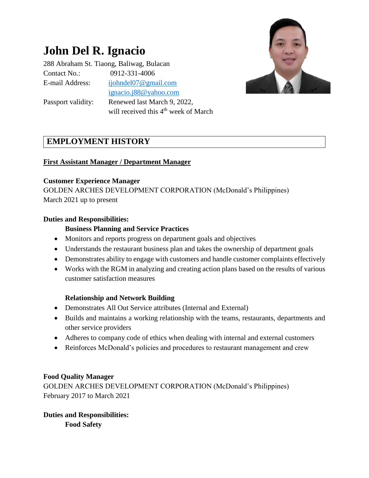# **John Del R. Ignacio**

288 Abraham St. Tiaong, Baliwag, Bulacan Contact No.: 0912-331-4006 E-mail Address: [ijohndel07@gmail.com](mailto:ijohndel07@gmail.com) [ignacio.j88@yahoo.com](mailto:ignacio.j88@yahoo.com) Passport validity: Renewed last March 9, 2022,



# **EMPLOYMENT HISTORY**

## **First Assistant Manager / Department Manager**

#### **Customer Experience Manager**

GOLDEN ARCHES DEVELOPMENT CORPORATION (McDonald's Philippines) March 2021 up to present

will received this 4<sup>th</sup> week of March

#### **Duties and Responsibilities:**

## **Business Planning and Service Practices**

- Monitors and reports progress on department goals and objectives
- Understands the restaurant business plan and takes the ownership of department goals
- Demonstrates ability to engage with customers and handle customer complaints effectively
- Works with the RGM in analyzing and creating action plans based on the results of various customer satisfaction measures

## **Relationship and Network Building**

- Demonstrates All Out Service attributes (Internal and External)
- Builds and maintains a working relationship with the teams, restaurants, departments and other service providers
- Adheres to company code of ethics when dealing with internal and external customers
- Reinforces McDonald's policies and procedures to restaurant management and crew

## **Food Quality Manager**

GOLDEN ARCHES DEVELOPMENT CORPORATION (McDonald's Philippines) February 2017 to March 2021

**Duties and Responsibilities: Food Safety**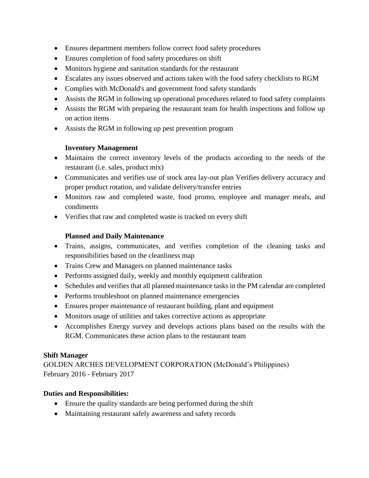- Ensures department members follow correct food safety procedures
- Ensures completion of food safety procedures on shift
- Monitors hygiene and sanitation standards for the restaurant
- Escalates any issues observed and actions taken with the food safety checklists to RGM
- Complies with McDonald's and government food safety standards
- Assists the RGM in following up operational procedures related to food safety complaints
- Assists the RGM with preparing the restaurant team for health inspections and follow up on action items
- Assists the RGM in following up pest prevention program

## **Inventory Management**

- Maintains the correct inventory levels of the products according to the needs of the restaurant (i.e. sales, product mix)
- Communicates and verifies use of stock area lay-out plan Verifies delivery accuracy and proper product rotation, and validate delivery/transfer entries
- Monitors raw and completed waste, food promo, employee and manager meals, and condiments
- Verifies that raw and completed waste is tracked on every shift

## **Planned and Daily Maintenance**

- Trains, assigns, communicates, and verifies completion of the cleaning tasks and responsibilities based on the cleanliness map
- Trains Crew and Managers on planned maintenance tasks
- Performs assigned daily, weekly and monthly equipment calibration
- Schedules and verifies that all planned maintenance tasks in the PM calendar are completed
- Performs troubleshoot on planned maintenance emergencies
- Ensures proper maintenance of restaurant building, plant and equipment
- Monitors usage of utilities and takes corrective actions as appropriate
- Accomplishes Energy survey and develops actions plans based on the results with the RGM. Communicates these action plans to the restaurant team

## **Shift Manager**

GOLDEN ARCHES DEVELOPMENT CORPORATION (McDonald's Philippines) February 2016 - February 2017

## **Duties and Responsibilities:**

- Ensure the quality standards are being performed during the shift
- Maintaining restaurant safely awareness and safety records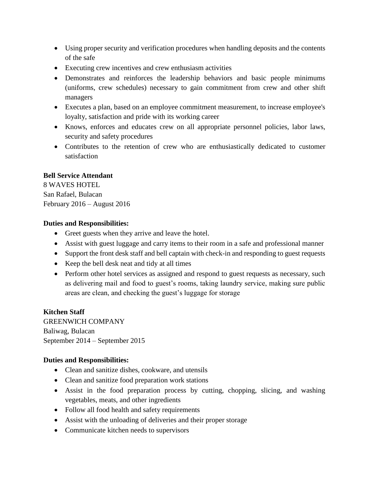- Using proper security and verification procedures when handling deposits and the contents of the safe
- Executing crew incentives and crew enthusiasm activities
- Demonstrates and reinforces the leadership behaviors and basic people minimums (uniforms, crew schedules) necessary to gain commitment from crew and other shift managers
- Executes a plan, based on an employee commitment measurement, to increase employee's loyalty, satisfaction and pride with its working career
- Knows, enforces and educates crew on all appropriate personnel policies, labor laws, security and safety procedures
- Contributes to the retention of crew who are enthusiastically dedicated to customer satisfaction

## **Bell Service Attendant**

8 WAVES HOTEL San Rafael, Bulacan February 2016 – August 2016

#### **Duties and Responsibilities:**

- Greet guests when they arrive and leave the hotel.
- Assist with guest luggage and carry items to their room in a safe and professional manner
- Support the front desk staff and bell captain with check-in and responding to guest requests
- Keep the bell desk neat and tidy at all times
- Perform other hotel services as assigned and respond to guest requests as necessary, such as delivering mail and food to guest's rooms, taking laundry service, making sure public areas are clean, and checking the guest's luggage for storage

## **Kitchen Staff**

GREENWICH COMPANY Baliwag, Bulacan September 2014 – September 2015

## **Duties and Responsibilities:**

- Clean and sanitize dishes, cookware, and utensils
- Clean and sanitize food preparation work stations
- Assist in the food preparation process by cutting, chopping, slicing, and washing vegetables, meats, and other ingredients
- Follow all food health and safety requirements
- Assist with the unloading of deliveries and their proper storage
- Communicate kitchen needs to supervisors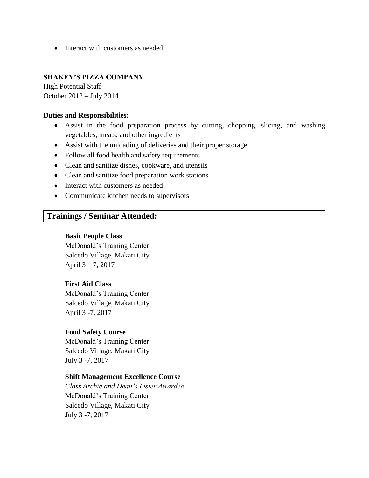• Interact with customers as needed

## **SHAKEY'S PIZZA COMPANY**

High Potential Staff October 2012 – July 2014

#### **Duties and Responsibilities:**

- Assist in the food preparation process by cutting, chopping, slicing, and washing vegetables, meats, and other ingredients
- Assist with the unloading of deliveries and their proper storage
- Follow all food health and safety requirements
- Clean and sanitize dishes, cookware, and utensils
- Clean and sanitize food preparation work stations
- Interact with customers as needed
- Communicate kitchen needs to supervisors

## **Trainings / Seminar Attended:**

#### **Basic People Class**

McDonald's Training Center Salcedo Village, Makati City April 3 – 7, 2017

#### **First Aid Class**

McDonald's Training Center Salcedo Village, Makati City April 3 -7, 2017

#### **Food Safety Course**

McDonald's Training Center Salcedo Village, Makati City July 3 -7, 2017

#### **Shift Management Excellence Course**

*Class Archie and Dean's Lister Awardee* McDonald's Training Center Salcedo Village, Makati City July 3 -7, 2017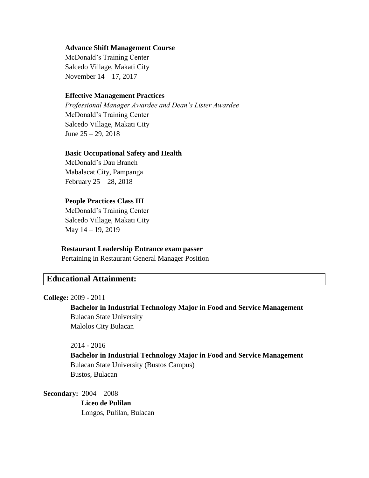#### **Advance Shift Management Course**

McDonald's Training Center Salcedo Village, Makati City November 14 – 17, 2017

#### **Effective Management Practices**

*Professional Manager Awardee and Dean's Lister Awardee* McDonald's Training Center Salcedo Village, Makati City June 25 – 29, 2018

#### **Basic Occupational Safety and Health**

McDonald's Dau Branch Mabalacat City, Pampanga February 25 – 28, 2018

#### **People Practices Class III**

McDonald's Training Center Salcedo Village, Makati City May 14 – 19, 2019

#### **Restaurant Leadership Entrance exam passer**

Pertaining in Restaurant General Manager Position

## **Educational Attainment:**

#### **College:** 2009 - 2011

 **Bachelor in Industrial Technology Major in Food and Service Management** Bulacan State University Malolos City Bulacan

#### 2014 - 2016

 **Bachelor in Industrial Technology Major in Food and Service Management** Bulacan State University (Bustos Campus) Bustos, Bulacan

**Secondary:** 2004 – 2008

 **Liceo de Pulilan** Longos, Pulilan, Bulacan